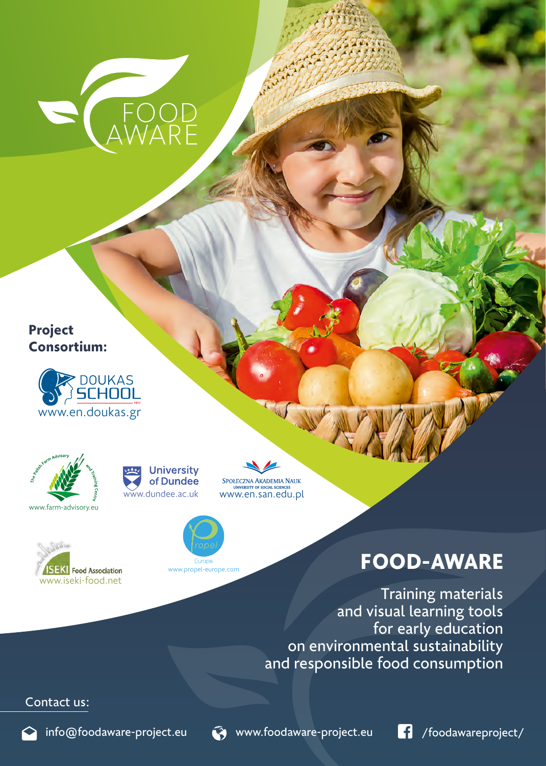

## **Project Consortium:**









www.propel-europe.com

SPOŁECZNA AKADEMIA NAUK w.dundee.ac.uk www.en.san.edu.pl



Training materials and visual learning tools for early education on environmental sustainability and responsible food consumption

## Contact us: